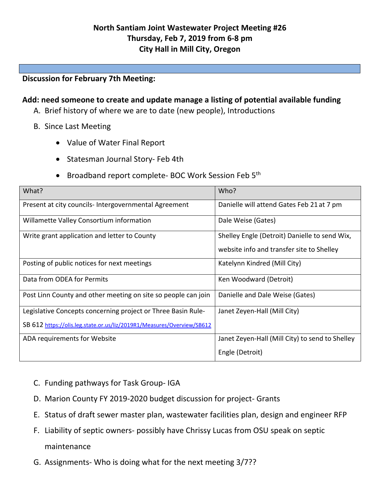## **Discussion for February 7th Meeting:**

## **Add: need someone to create and update manage a listing of potential available funding**

- A. Brief history of where we are to date (new people), Introductions
- B. Since Last Meeting
	- Value of Water Final Report
	- Statesman Journal Story- Feb 4th
	- Broadband report complete- BOC Work Session Feb 5<sup>th</sup>

| What?                                                                  | Who?                                            |  |
|------------------------------------------------------------------------|-------------------------------------------------|--|
| Present at city councils- Intergovernmental Agreement                  | Danielle will attend Gates Feb 21 at 7 pm       |  |
| Willamette Valley Consortium information                               | Dale Weise (Gates)                              |  |
| Write grant application and letter to County                           | Shelley Engle (Detroit) Danielle to send Wix,   |  |
|                                                                        | website info and transfer site to Shelley       |  |
| Posting of public notices for next meetings                            | Katelynn Kindred (Mill City)                    |  |
| Data from ODEA for Permits                                             | Ken Woodward (Detroit)                          |  |
| Post Linn County and other meeting on site so people can join          | Danielle and Dale Weise (Gates)                 |  |
| Legislative Concepts concerning project or Three Basin Rule-           | Janet Zeyen-Hall (Mill City)                    |  |
| SB 612 https://olis.leg.state.or.us/liz/2019R1/Measures/Overview/SB612 |                                                 |  |
| ADA requirements for Website                                           | Janet Zeyen-Hall (Mill City) to send to Shelley |  |
|                                                                        | Engle (Detroit)                                 |  |

- C. Funding pathways for Task Group- IGA
- D. Marion County FY 2019-2020 budget discussion for project- Grants
- E. Status of draft sewer master plan, wastewater facilities plan, design and engineer RFP
- F. Liability of septic owners- possibly have Chrissy Lucas from OSU speak on septic maintenance
- G. Assignments- Who is doing what for the next meeting 3/7??